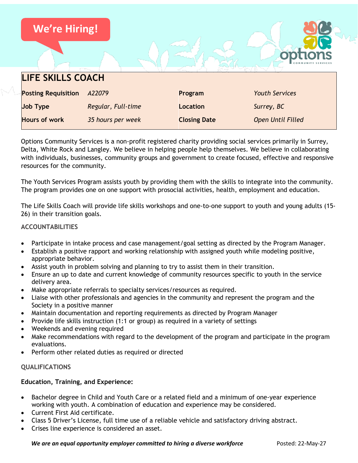| <b>We're Hiring!</b>       |                    |                     |                          |
|----------------------------|--------------------|---------------------|--------------------------|
|                            |                    |                     |                          |
| <b>LIFE SKILLS COACH</b>   |                    |                     |                          |
| <b>Posting Requisition</b> | A22079             | Program             | <b>Youth Services</b>    |
| <b>Job Type</b>            | Regular, Full-time | <b>Location</b>     | Surrey, BC               |
| <b>Hours of work</b>       | 35 hours per week  | <b>Closing Date</b> | <b>Open Until Filled</b> |

Options Community Services is a non-profit registered charity providing social services primarily in Surrey, Delta, White Rock and Langley. We believe in helping people help themselves. We believe in collaborating with individuals, businesses, community groups and government to create focused, effective and responsive resources for the community.

The Youth Services Program assists youth by providing them with the skills to integrate into the community. The program provides one on one support with prosocial activities, health, employment and education.

The Life Skills Coach will provide life skills workshops and one-to-one support to youth and young adults (15- 26) in their transition goals.

# **ACCOUNTABILITIES**

- Participate in intake process and case management/goal setting as directed by the Program Manager.
- Establish a positive rapport and working relationship with assigned youth while modeling positive, appropriate behavior.
- Assist youth in problem solving and planning to try to assist them in their transition.
- Ensure an up to date and current knowledge of community resources specific to youth in the service delivery area.
- Make appropriate referrals to specialty services/resources as required.
- Liaise with other professionals and agencies in the community and represent the program and the Society in a positive manner
- Maintain documentation and reporting requirements as directed by Program Manager
- Provide life skills instruction (1:1 or group) as required in a variety of settings
- Weekends and evening required
- Make recommendations with regard to the development of the program and participate in the program evaluations.
- Perform other related duties as required or directed

### **QUALIFICATIONS**

### **Education, Training, and Experience:**

- Bachelor degree in Child and Youth Care or a related field and a minimum of one-year experience working with youth. A combination of education and experience may be considered.
- Current First Aid certificate.
- Class 5 Driver's License, full time use of a reliable vehicle and satisfactory driving abstract.
- Crises line experience is considered an asset.